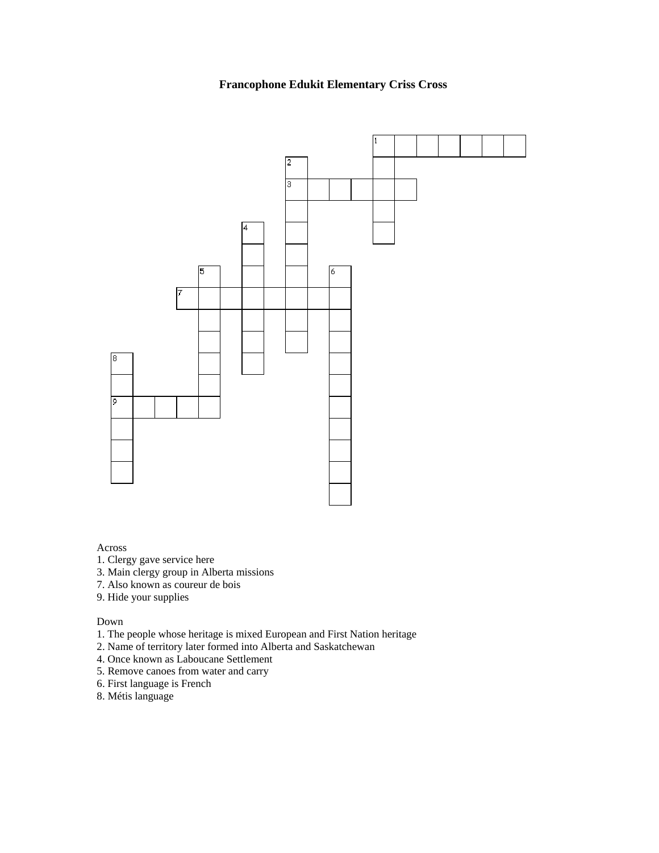## **Francophone Edukit Elementary Criss Cross**



## Across

- 1. Clergy gave service here
- 3. Main clergy group in Alberta missions
- 7. Also known as coureur de bois
- 9. Hide your supplies

Down

- 1. The people whose heritage is mixed European and First Nation heritage
- 2. Name of territory later formed into Alberta and Saskatchewan
- 4. Once known as Laboucane Settlement
- 5. Remove canoes from water and carry
- 6. First language is French
- 8. Métis language